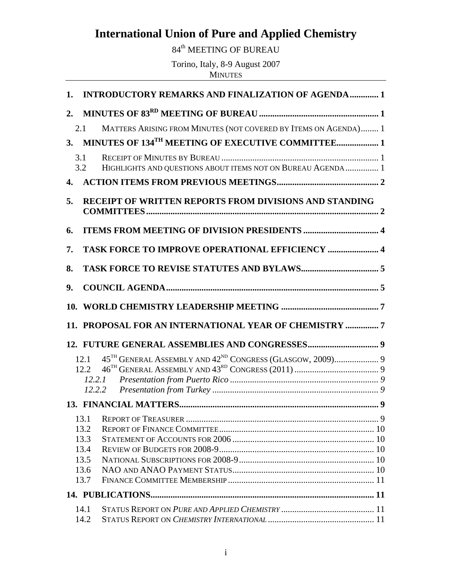# **International Union of Pure and Applied Chemistry**

 $84^{\rm th}$  MEETING OF BUREAU

Torino, Italy, 8-9 August 2007 MINUTES

|    | 1. INTRODUCTORY REMARKS AND FINALIZATION OF AGENDA 1                   |  |  |  |  |
|----|------------------------------------------------------------------------|--|--|--|--|
| 2. |                                                                        |  |  |  |  |
|    | MATTERS ARISING FROM MINUTES (NOT COVERED BY ITEMS ON AGENDA) 1<br>2.1 |  |  |  |  |
| 3. | MINUTES OF 134TH MEETING OF EXECUTIVE COMMITTEE 1                      |  |  |  |  |
|    | 3.1                                                                    |  |  |  |  |
|    | HIGHLIGHTS AND QUESTIONS ABOUT ITEMS NOT ON BUREAU AGENDA  1<br>3.2    |  |  |  |  |
| 4. |                                                                        |  |  |  |  |
| 5. | RECEIPT OF WRITTEN REPORTS FROM DIVISIONS AND STANDING                 |  |  |  |  |
| 6. | <b>ITEMS FROM MEETING OF DIVISION PRESIDENTS  4</b>                    |  |  |  |  |
| 7. | <b>TASK FORCE TO IMPROVE OPERATIONAL EFFICIENCY  4</b>                 |  |  |  |  |
| 8. |                                                                        |  |  |  |  |
| 9. |                                                                        |  |  |  |  |
|    |                                                                        |  |  |  |  |
|    | 11. PROPOSAL FOR AN INTERNATIONAL YEAR OF CHEMISTRY 7                  |  |  |  |  |
|    |                                                                        |  |  |  |  |
|    | 12.1                                                                   |  |  |  |  |
|    | 12.2.1                                                                 |  |  |  |  |
|    | 12.2.2                                                                 |  |  |  |  |
|    |                                                                        |  |  |  |  |
|    |                                                                        |  |  |  |  |
|    | 13.2                                                                   |  |  |  |  |
|    | 13.3                                                                   |  |  |  |  |
|    | 13.4<br>13.5                                                           |  |  |  |  |
|    | 13.6                                                                   |  |  |  |  |
|    | 13.7                                                                   |  |  |  |  |
|    |                                                                        |  |  |  |  |
|    | 14.1                                                                   |  |  |  |  |
|    | 14.2                                                                   |  |  |  |  |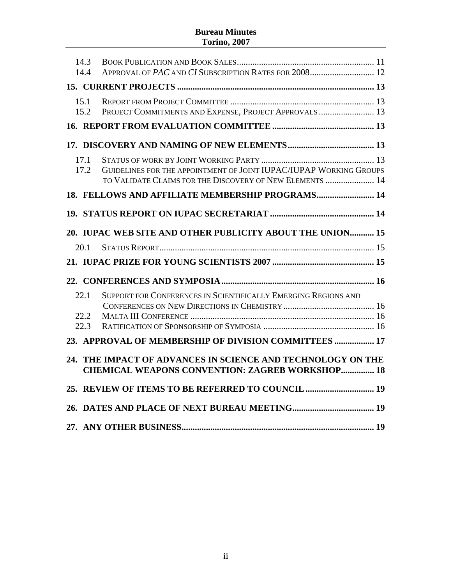## **Bureau Minutes Torino, 2007**

| 14.3<br>14.4                                                                                                          | APPROVAL OF PAC AND CI SUBSCRIPTION RATES FOR 2008 12                                                                          |  |  |  |  |  |
|-----------------------------------------------------------------------------------------------------------------------|--------------------------------------------------------------------------------------------------------------------------------|--|--|--|--|--|
|                                                                                                                       |                                                                                                                                |  |  |  |  |  |
| 15.1<br>15.2                                                                                                          | PROJECT COMMITMENTS AND EXPENSE, PROJECT APPROVALS  13                                                                         |  |  |  |  |  |
|                                                                                                                       |                                                                                                                                |  |  |  |  |  |
|                                                                                                                       |                                                                                                                                |  |  |  |  |  |
| 17.1<br>17.2                                                                                                          | GUIDELINES FOR THE APPOINTMENT OF JOINT IUPAC/IUPAP WORKING GROUPS<br>TO VALIDATE CLAIMS FOR THE DISCOVERY OF NEW ELEMENTS  14 |  |  |  |  |  |
|                                                                                                                       | 18. FELLOWS AND AFFILIATE MEMBERSHIP PROGRAMS 14                                                                               |  |  |  |  |  |
|                                                                                                                       |                                                                                                                                |  |  |  |  |  |
|                                                                                                                       | 20. IUPAC WEB SITE AND OTHER PUBLICITY ABOUT THE UNION 15                                                                      |  |  |  |  |  |
| 20.1                                                                                                                  |                                                                                                                                |  |  |  |  |  |
|                                                                                                                       |                                                                                                                                |  |  |  |  |  |
|                                                                                                                       |                                                                                                                                |  |  |  |  |  |
| 22.1<br>22.2<br>22.3                                                                                                  | SUPPORT FOR CONFERENCES IN SCIENTIFICALLY EMERGING REGIONS AND                                                                 |  |  |  |  |  |
|                                                                                                                       | 23. APPROVAL OF MEMBERSHIP OF DIVISION COMMITTEES  17                                                                          |  |  |  |  |  |
| 24. THE IMPACT OF ADVANCES IN SCIENCE AND TECHNOLOGY ON THE<br><b>CHEMICAL WEAPONS CONVENTION: ZAGREB WORKSHOP 18</b> |                                                                                                                                |  |  |  |  |  |
|                                                                                                                       |                                                                                                                                |  |  |  |  |  |
|                                                                                                                       |                                                                                                                                |  |  |  |  |  |
|                                                                                                                       |                                                                                                                                |  |  |  |  |  |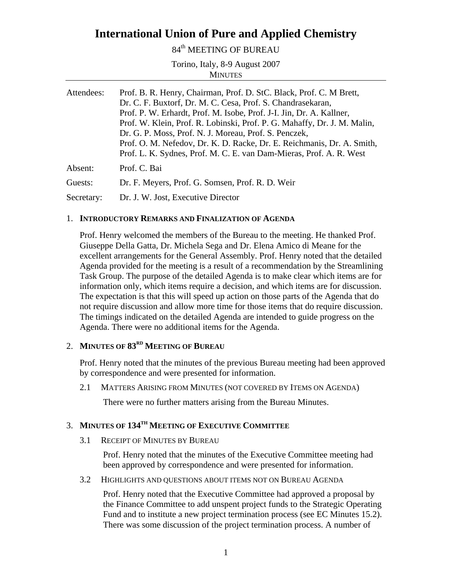## **International Union of Pure and Applied Chemistry**

## 84th MEETING OF BUREAU

Torino, Italy, 8-9 August 2007 **MINUTES** 

| Attendees: | Prof. B. R. Henry, Chairman, Prof. D. StC. Black, Prof. C. M Brett,<br>Dr. C. F. Buxtorf, Dr. M. C. Cesa, Prof. S. Chandrasekaran, |
|------------|------------------------------------------------------------------------------------------------------------------------------------|
|            | Prof. P. W. Erhardt, Prof. M. Isobe, Prof. J-I. Jin, Dr. A. Kallner,                                                               |
|            | Prof. W. Klein, Prof. R. Lobinski, Prof. P. G. Mahaffy, Dr. J. M. Malin,                                                           |
|            | Dr. G. P. Moss, Prof. N. J. Moreau, Prof. S. Penczek,                                                                              |
|            | Prof. O. M. Nefedov, Dr. K. D. Racke, Dr. E. Reichmanis, Dr. A. Smith,                                                             |
|            | Prof. L. K. Sydnes, Prof. M. C. E. van Dam-Mieras, Prof. A. R. West                                                                |
| Absent:    | Prof. C. Bai                                                                                                                       |
| Guests:    | Dr. F. Meyers, Prof. G. Somsen, Prof. R. D. Weir                                                                                   |
| Secretary: | Dr. J. W. Jost, Executive Director                                                                                                 |

#### 1. **INTRODUCTORY REMARKS AND FINALIZATION OF AGENDA**

Prof. Henry welcomed the members of the Bureau to the meeting. He thanked Prof. Giuseppe Della Gatta, Dr. Michela Sega and Dr. Elena Amico di Meane for the excellent arrangements for the General Assembly. Prof. Henry noted that the detailed Agenda provided for the meeting is a result of a recommendation by the Streamlining Task Group. The purpose of the detailed Agenda is to make clear which items are for information only, which items require a decision, and which items are for discussion. The expectation is that this will speed up action on those parts of the Agenda that do not require discussion and allow more time for those items that do require discussion. The timings indicated on the detailed Agenda are intended to guide progress on the Agenda. There were no additional items for the Agenda.

## 2. **MINUTES OF 83RD MEETING OF BUREAU**

Prof. Henry noted that the minutes of the previous Bureau meeting had been approved by correspondence and were presented for information.

2.1 MATTERS ARISING FROM MINUTES (NOT COVERED BY ITEMS ON AGENDA)

There were no further matters arising from the Bureau Minutes.

## 3. **MINUTES OF 134TH MEETING OF EXECUTIVE COMMITTEE**

3.1 RECEIPT OF MINUTES BY BUREAU

Prof. Henry noted that the minutes of the Executive Committee meeting had been approved by correspondence and were presented for information.

3.2 HIGHLIGHTS AND QUESTIONS ABOUT ITEMS NOT ON BUREAU AGENDA

Prof. Henry noted that the Executive Committee had approved a proposal by the Finance Committee to add unspent project funds to the Strategic Operating Fund and to institute a new project termination process (see EC Minutes 15.2). There was some discussion of the project termination process. A number of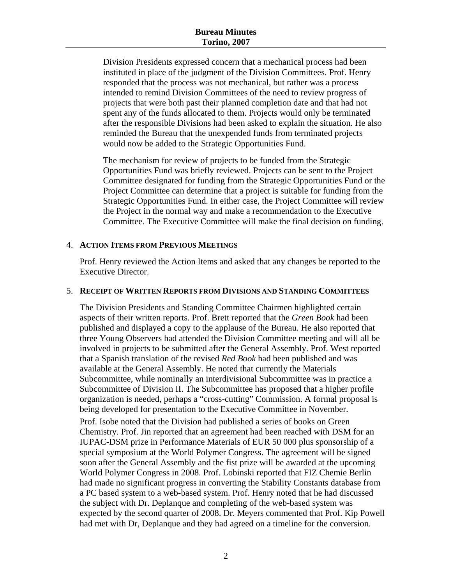Division Presidents expressed concern that a mechanical process had been instituted in place of the judgment of the Division Committees. Prof. Henry responded that the process was not mechanical, but rather was a process intended to remind Division Committees of the need to review progress of projects that were both past their planned completion date and that had not spent any of the funds allocated to them. Projects would only be terminated after the responsible Divisions had been asked to explain the situation. He also reminded the Bureau that the unexpended funds from terminated projects would now be added to the Strategic Opportunities Fund.

The mechanism for review of projects to be funded from the Strategic Opportunities Fund was briefly reviewed. Projects can be sent to the Project Committee designated for funding from the Strategic Opportunities Fund or the Project Committee can determine that a project is suitable for funding from the Strategic Opportunities Fund. In either case, the Project Committee will review the Project in the normal way and make a recommendation to the Executive Committee. The Executive Committee will make the final decision on funding.

#### 4. **ACTION ITEMS FROM PREVIOUS MEETINGS**

Prof. Henry reviewed the Action Items and asked that any changes be reported to the Executive Director.

#### 5. **RECEIPT OF WRITTEN REPORTS FROM DIVISIONS AND STANDING COMMITTEES**

The Division Presidents and Standing Committee Chairmen highlighted certain aspects of their written reports. Prof. Brett reported that the *Green Book* had been published and displayed a copy to the applause of the Bureau. He also reported that three Young Observers had attended the Division Committee meeting and will all be involved in projects to be submitted after the General Assembly. Prof. West reported that a Spanish translation of the revised *Red Book* had been published and was available at the General Assembly. He noted that currently the Materials Subcommittee, while nominally an interdivisional Subcommittee was in practice a Subcommittee of Division II. The Subcommittee has proposed that a higher profile organization is needed, perhaps a "cross-cutting" Commission. A formal proposal is being developed for presentation to the Executive Committee in November.

Prof. Isobe noted that the Division had published a series of books on Green Chemistry. Prof. Jin reported that an agreement had been reached with DSM for an IUPAC-DSM prize in Performance Materials of EUR 50 000 plus sponsorship of a special symposium at the World Polymer Congress. The agreement will be signed soon after the General Assembly and the fist prize will be awarded at the upcoming World Polymer Congress in 2008. Prof. Lobinski reported that FIZ Chemie Berlin had made no significant progress in converting the Stability Constants database from a PC based system to a web-based system. Prof. Henry noted that he had discussed the subject with Dr. Deplanque and completing of the web-based system was expected by the second quarter of 2008. Dr. Meyers commented that Prof. Kip Powell had met with Dr, Deplanque and they had agreed on a timeline for the conversion.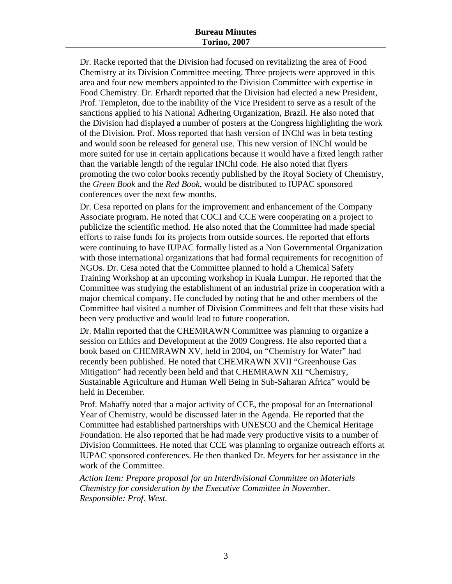Dr. Racke reported that the Division had focused on revitalizing the area of Food Chemistry at its Division Committee meeting. Three projects were approved in this area and four new members appointed to the Division Committee with expertise in Food Chemistry. Dr. Erhardt reported that the Division had elected a new President, Prof. Templeton, due to the inability of the Vice President to serve as a result of the sanctions applied to his National Adhering Organization, Brazil. He also noted that the Division had displayed a number of posters at the Congress highlighting the work of the Division. Prof. Moss reported that hash version of INChI was in beta testing and would soon be released for general use. This new version of INChI would be more suited for use in certain applications because it would have a fixed length rather than the variable length of the regular INChI code. He also noted that flyers promoting the two color books recently published by the Royal Society of Chemistry, the *Green Book* and the *Red Book*, would be distributed to IUPAC sponsored conferences over the next few months.

Dr. Cesa reported on plans for the improvement and enhancement of the Company Associate program. He noted that COCI and CCE were cooperating on a project to publicize the scientific method. He also noted that the Committee had made special efforts to raise funds for its projects from outside sources. He reported that efforts were continuing to have IUPAC formally listed as a Non Governmental Organization with those international organizations that had formal requirements for recognition of NGOs. Dr. Cesa noted that the Committee planned to hold a Chemical Safety Training Workshop at an upcoming workshop in Kuala Lumpur. He reported that the Committee was studying the establishment of an industrial prize in cooperation with a major chemical company. He concluded by noting that he and other members of the Committee had visited a number of Division Committees and felt that these visits had been very productive and would lead to future cooperation.

Dr. Malin reported that the CHEMRAWN Committee was planning to organize a session on Ethics and Development at the 2009 Congress. He also reported that a book based on CHEMRAWN XV, held in 2004, on "Chemistry for Water" had recently been published. He noted that CHEMRAWN XVII "Greenhouse Gas Mitigation" had recently been held and that CHEMRAWN XII "Chemistry, Sustainable Agriculture and Human Well Being in Sub-Saharan Africa" would be held in December.

Prof. Mahaffy noted that a major activity of CCE, the proposal for an International Year of Chemistry, would be discussed later in the Agenda. He reported that the Committee had established partnerships with UNESCO and the Chemical Heritage Foundation. He also reported that he had made very productive visits to a number of Division Committees. He noted that CCE was planning to organize outreach efforts at IUPAC sponsored conferences. He then thanked Dr. Meyers for her assistance in the work of the Committee.

*Action Item: Prepare proposal for an Interdivisional Committee on Materials Chemistry for consideration by the Executive Committee in November. Responsible: Prof. West.*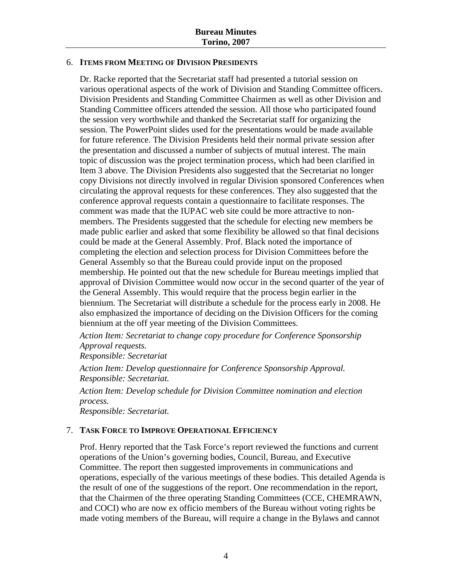#### 6. **ITEMS FROM MEETING OF DIVISION PRESIDENTS**

Dr. Racke reported that the Secretariat staff had presented a tutorial session on various operational aspects of the work of Division and Standing Committee officers. Division Presidents and Standing Committee Chairmen as well as other Division and Standing Committee officers attended the session. All those who participated found the session very worthwhile and thanked the Secretariat staff for organizing the session. The PowerPoint slides used for the presentations would be made available for future reference. The Division Presidents held their normal private session after the presentation and discussed a number of subjects of mutual interest. The main topic of discussion was the project termination process, which had been clarified in Item 3 above. The Division Presidents also suggested that the Secretariat no longer copy Divisions not directly involved in regular Division sponsored Conferences when circulating the approval requests for these conferences. They also suggested that the conference approval requests contain a questionnaire to facilitate responses. The comment was made that the IUPAC web site could be more attractive to nonmembers. The Presidents suggested that the schedule for electing new members be made public earlier and asked that some flexibility be allowed so that final decisions could be made at the General Assembly. Prof. Black noted the importance of completing the election and selection process for Division Committees before the General Assembly so that the Bureau could provide input on the proposed membership. He pointed out that the new schedule for Bureau meetings implied that approval of Division Committee would now occur in the second quarter of the year of the General Assembly. This would require that the process begin earlier in the biennium. The Secretariat will distribute a schedule for the process early in 2008. He also emphasized the importance of deciding on the Division Officers for the coming biennium at the off year meeting of the Division Committees.

*Action Item: Secretariat to change copy procedure for Conference Sponsorship Approval requests.* 

*Responsible: Secretariat* 

*Action Item: Develop questionnaire for Conference Sponsorship Approval. Responsible: Secretariat.* 

*Action Item: Develop schedule for Division Committee nomination and election process.* 

*Responsible: Secretariat.*

#### 7. **TASK FORCE TO IMPROVE OPERATIONAL EFFICIENCY**

Prof. Henry reported that the Task Force's report reviewed the functions and current operations of the Union's governing bodies, Council, Bureau, and Executive Committee. The report then suggested improvements in communications and operations, especially of the various meetings of these bodies. This detailed Agenda is the result of one of the suggestions of the report. One recommendation in the report, that the Chairmen of the three operating Standing Committees (CCE, CHEMRAWN, and COCI) who are now ex officio members of the Bureau without voting rights be made voting members of the Bureau, will require a change in the Bylaws and cannot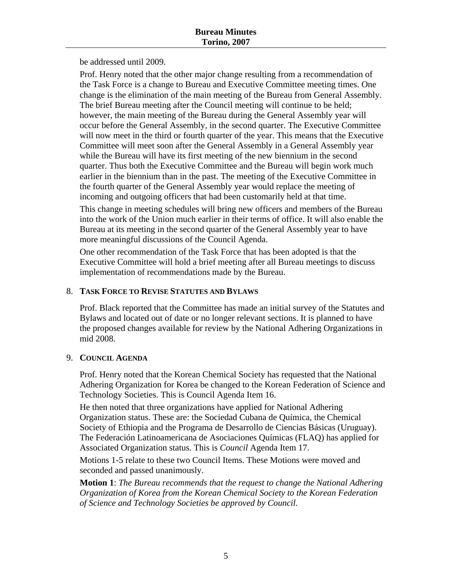be addressed until 2009.

Prof. Henry noted that the other major change resulting from a recommendation of the Task Force is a change to Bureau and Executive Committee meeting times. One change is the elimination of the main meeting of the Bureau from General Assembly. The brief Bureau meeting after the Council meeting will continue to be held; however, the main meeting of the Bureau during the General Assembly year will occur before the General Assembly, in the second quarter. The Executive Committee will now meet in the third or fourth quarter of the year. This means that the Executive Committee will meet soon after the General Assembly in a General Assembly year while the Bureau will have its first meeting of the new biennium in the second quarter. Thus both the Executive Committee and the Bureau will begin work much earlier in the biennium than in the past. The meeting of the Executive Committee in the fourth quarter of the General Assembly year would replace the meeting of incoming and outgoing officers that had been customarily held at that time.

This change in meeting schedules will bring new officers and members of the Bureau into the work of the Union much earlier in their terms of office. It will also enable the Bureau at its meeting in the second quarter of the General Assembly year to have more meaningful discussions of the Council Agenda.

One other recommendation of the Task Force that has been adopted is that the Executive Committee will hold a brief meeting after all Bureau meetings to discuss implementation of recommendations made by the Bureau.

## 8. **TASK FORCE TO REVISE STATUTES AND BYLAWS**

Prof. Black reported that the Committee has made an initial survey of the Statutes and Bylaws and located out of date or no longer relevant sections. It is planned to have the proposed changes available for review by the National Adhering Organizations in mid 2008.

#### 9. **COUNCIL AGENDA**

Prof. Henry noted that the Korean Chemical Society has requested that the National Adhering Organization for Korea be changed to the Korean Federation of Science and Technology Societies. This is Council Agenda Item 16.

He then noted that three organizations have applied for National Adhering Organization status. These are: the Sociedad Cubana de Química, the Chemical Society of Ethiopia and the Programa de Desarrollo de Ciencias Básicas (Uruguay). The Federación Latinoamericana de Asociaciones Químicas (FLAQ) has applied for Associated Organization status. This is *Council* Agenda Item 17.

Motions 1-5 relate to these two Council Items. These Motions were moved and seconded and passed unanimously.

**Motion 1**: *The Bureau recommends that the request to change the National Adhering Organization of Korea from the Korean Chemical Society to the Korean Federation of Science and Technology Societies be approved by Council.*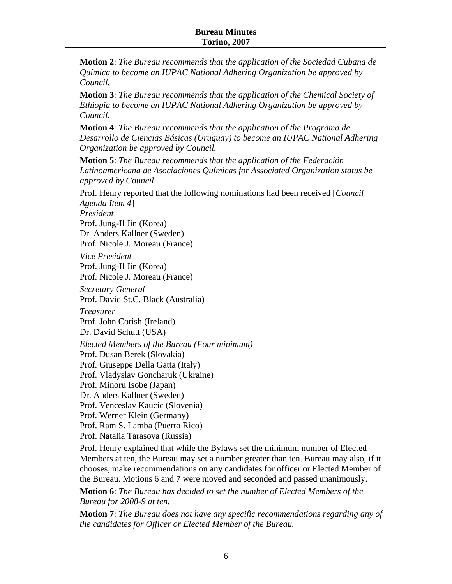**Motion 2**: *The Bureau recommends that the application of the Sociedad Cubana de Química to become an IUPAC National Adhering Organization be approved by Council.*

**Motion 3**: *The Bureau recommends that the application of the Chemical Society of Ethiopia to become an IUPAC National Adhering Organization be approved by Council.*

**Motion 4**: *The Bureau recommends that the application of the Programa de Desarrollo de Ciencias Básicas (Uruguay) to become an IUPAC National Adhering Organization be approved by Council.*

**Motion 5**: *The Bureau recommends that the application of the Federación Latinoamericana de Asociaciones Químicas for Associated Organization status be approved by Council.* 

Prof. Henry reported that the following nominations had been received [*Council Agenda Item 4*]

*President* 

Prof. Jung-Il Jin (Korea) Dr. Anders Kallner (Sweden) Prof. Nicole J. Moreau (France)

*Vice President*  Prof. Jung-Il Jin (Korea) Prof. Nicole J. Moreau (France)

*Secretary General*  Prof. David St.C. Black (Australia)

*Treasurer*  Prof. John Corish (Ireland) Dr. David Schutt (USA)

*Elected Members of the Bureau (Four minimum)*  Prof. Dusan Berek (Slovakia) Prof. Giuseppe Della Gatta (Italy) Prof. Vladyslav Goncharuk (Ukraine) Prof. Minoru Isobe (Japan) Dr. Anders Kallner (Sweden) Prof. Venceslav Kaucic (Slovenia) Prof. Werner Klein (Germany) Prof. Ram S. Lamba (Puerto Rico) Prof. Natalia Tarasova (Russia)

Prof. Henry explained that while the Bylaws set the minimum number of Elected Members at ten, the Bureau may set a number greater than ten. Bureau may also, if it chooses, make recommendations on any candidates for officer or Elected Member of the Bureau. Motions 6 and 7 were moved and seconded and passed unanimously.

**Motion 6**: *The Bureau has decided to set the number of Elected Members of the Bureau for 2008-9 at ten.*

**Motion 7**: *The Bureau does not have any specific recommendations regarding any of the candidates for Officer or Elected Member of the Bureau.*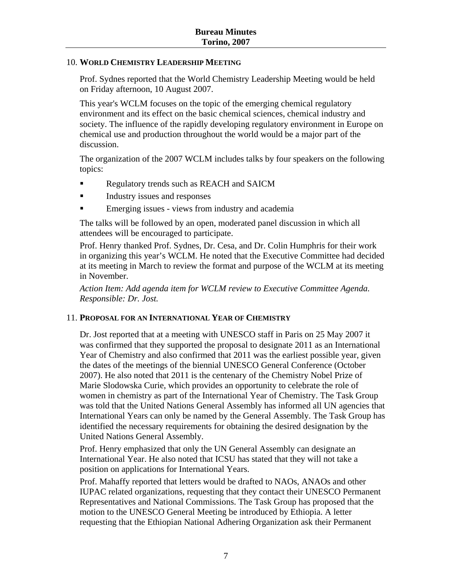#### 10. **WORLD CHEMISTRY LEADERSHIP MEETING**

Prof. Sydnes reported that the World Chemistry Leadership Meeting would be held on Friday afternoon, 10 August 2007.

This year's WCLM focuses on the topic of the emerging chemical regulatory environment and its effect on the basic chemical sciences, chemical industry and society. The influence of the rapidly developing regulatory environment in Europe on chemical use and production throughout the world would be a major part of the discussion.

The organization of the 2007 WCLM includes talks by four speakers on the following topics:

- Regulatory trends such as REACH and SAICM
- Industry issues and responses
- **Emerging issues views from industry and academia**

The talks will be followed by an open, moderated panel discussion in which all attendees will be encouraged to participate.

Prof. Henry thanked Prof. Sydnes, Dr. Cesa, and Dr. Colin Humphris for their work in organizing this year's WCLM. He noted that the Executive Committee had decided at its meeting in March to review the format and purpose of the WCLM at its meeting in November.

*Action Item: Add agenda item for WCLM review to Executive Committee Agenda. Responsible: Dr. Jost.*

#### 11. **PROPOSAL FOR AN INTERNATIONAL YEAR OF CHEMISTRY**

Dr. Jost reported that at a meeting with UNESCO staff in Paris on 25 May 2007 it was confirmed that they supported the proposal to designate 2011 as an International Year of Chemistry and also confirmed that 2011 was the earliest possible year, given the dates of the meetings of the biennial UNESCO General Conference (October 2007). He also noted that 2011 is the centenary of the Chemistry Nobel Prize of Marie Slodowska Curie, which provides an opportunity to celebrate the role of women in chemistry as part of the International Year of Chemistry. The Task Group was told that the United Nations General Assembly has informed all UN agencies that International Years can only be named by the General Assembly. The Task Group has identified the necessary requirements for obtaining the desired designation by the United Nations General Assembly.

Prof. Henry emphasized that only the UN General Assembly can designate an International Year. He also noted that ICSU has stated that they will not take a position on applications for International Years.

Prof. Mahaffy reported that letters would be drafted to NAOs, ANAOs and other IUPAC related organizations, requesting that they contact their UNESCO Permanent Representatives and National Commissions. The Task Group has proposed that the motion to the UNESCO General Meeting be introduced by Ethiopia. A letter requesting that the Ethiopian National Adhering Organization ask their Permanent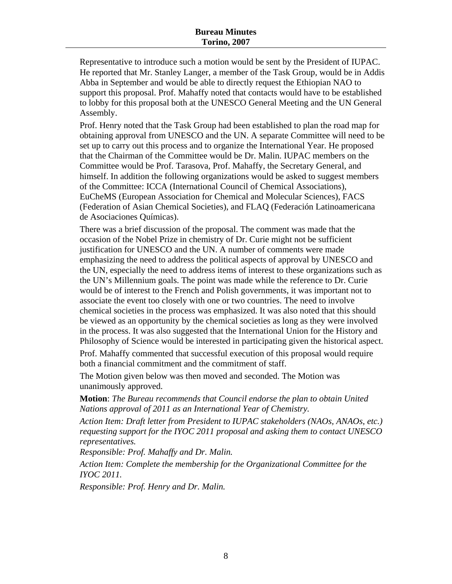Representative to introduce such a motion would be sent by the President of IUPAC. He reported that Mr. Stanley Langer, a member of the Task Group, would be in Addis Abba in September and would be able to directly request the Ethiopian NAO to support this proposal. Prof. Mahaffy noted that contacts would have to be established to lobby for this proposal both at the UNESCO General Meeting and the UN General Assembly.

Prof. Henry noted that the Task Group had been established to plan the road map for obtaining approval from UNESCO and the UN. A separate Committee will need to be set up to carry out this process and to organize the International Year. He proposed that the Chairman of the Committee would be Dr. Malin. IUPAC members on the Committee would be Prof. Tarasova, Prof. Mahaffy, the Secretary General, and himself. In addition the following organizations would be asked to suggest members of the Committee: ICCA (International Council of Chemical Associations), EuCheMS (European Association for Chemical and Molecular Sciences), FACS (Federation of Asian Chemical Societies), and FLAQ (Federación Latinoamericana de Asociaciones Químicas).

There was a brief discussion of the proposal. The comment was made that the occasion of the Nobel Prize in chemistry of Dr. Curie might not be sufficient justification for UNESCO and the UN. A number of comments were made emphasizing the need to address the political aspects of approval by UNESCO and the UN, especially the need to address items of interest to these organizations such as the UN's Millennium goals. The point was made while the reference to Dr. Curie would be of interest to the French and Polish governments, it was important not to associate the event too closely with one or two countries. The need to involve chemical societies in the process was emphasized. It was also noted that this should be viewed as an opportunity by the chemical societies as long as they were involved in the process. It was also suggested that the International Union for the History and Philosophy of Science would be interested in participating given the historical aspect.

Prof. Mahaffy commented that successful execution of this proposal would require both a financial commitment and the commitment of staff.

The Motion given below was then moved and seconded. The Motion was unanimously approved.

**Motion**: *The Bureau recommends that Council endorse the plan to obtain United Nations approval of 2011 as an International Year of Chemistry.* 

*Action Item: Draft letter from President to IUPAC stakeholders (NAOs, ANAOs, etc.) requesting support for the IYOC 2011 proposal and asking them to contact UNESCO representatives.* 

*Responsible: Prof. Mahaffy and Dr. Malin.* 

*Action Item: Complete the membership for the Organizational Committee for the IYOC 2011.* 

*Responsible: Prof. Henry and Dr. Malin.*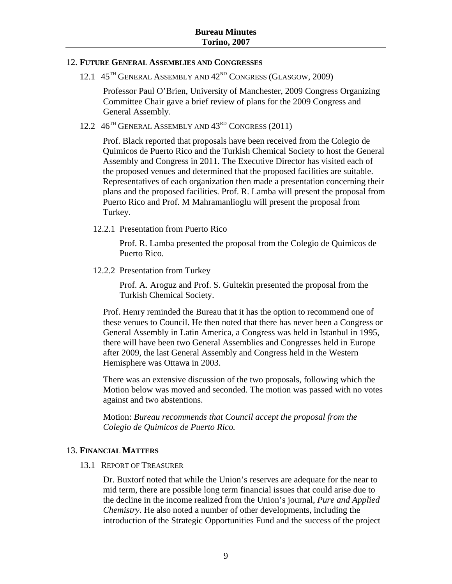#### 12. **FUTURE GENERAL ASSEMBLIES AND CONGRESSES**

12.1  $45^{\text{TH}}$  GENERAL ASSEMBLY AND  $42^{\text{ND}}$  CONGRESS (GLASGOW, 2009)

Professor Paul O'Brien, University of Manchester, 2009 Congress Organizing Committee Chair gave a brief review of plans for the 2009 Congress and General Assembly.

12.2  $46<sup>TH</sup>$  GENERAL ASSEMBLY AND  $43<sup>RD</sup>$  CONGRESS (2011)

Prof. Black reported that proposals have been received from the Colegio de Quimicos de Puerto Rico and the Turkish Chemical Society to host the General Assembly and Congress in 2011. The Executive Director has visited each of the proposed venues and determined that the proposed facilities are suitable. Representatives of each organization then made a presentation concerning their plans and the proposed facilities. Prof. R. Lamba will present the proposal from Puerto Rico and Prof. M Mahramanlioglu will present the proposal from Turkey.

12.2.1 Presentation from Puerto Rico

Prof. R. Lamba presented the proposal from the Colegio de Quimicos de Puerto Rico.

12.2.2 Presentation from Turkey

Prof. A. Aroguz and Prof. S. Gultekin presented the proposal from the Turkish Chemical Society.

Prof. Henry reminded the Bureau that it has the option to recommend one of these venues to Council. He then noted that there has never been a Congress or General Assembly in Latin America, a Congress was held in Istanbul in 1995, there will have been two General Assemblies and Congresses held in Europe after 2009, the last General Assembly and Congress held in the Western Hemisphere was Ottawa in 2003.

There was an extensive discussion of the two proposals, following which the Motion below was moved and seconded. The motion was passed with no votes against and two abstentions.

Motion: *Bureau recommends that Council accept the proposal from the Colegio de Quimicos de Puerto Rico.*

#### 13. **FINANCIAL MATTERS**

13.1 REPORT OF TREASURER

Dr. Buxtorf noted that while the Union's reserves are adequate for the near to mid term, there are possible long term financial issues that could arise due to the decline in the income realized from the Union's journal, *Pure and Applied Chemistry*. He also noted a number of other developments, including the introduction of the Strategic Opportunities Fund and the success of the project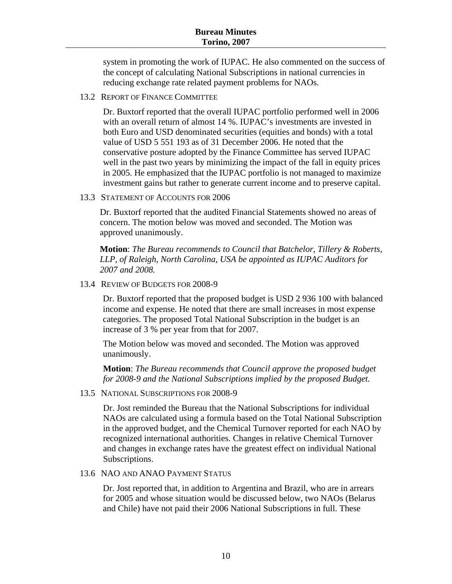#### **Bureau Minutes Torino, 2007**

system in promoting the work of IUPAC. He also commented on the success of the concept of calculating National Subscriptions in national currencies in reducing exchange rate related payment problems for NAOs.

13.2 REPORT OF FINANCE COMMITTEE

Dr. Buxtorf reported that the overall IUPAC portfolio performed well in 2006 with an overall return of almost 14 %. IUPAC's investments are invested in both Euro and USD denominated securities (equities and bonds) with a total value of USD 5 551 193 as of 31 December 2006. He noted that the conservative posture adopted by the Finance Committee has served IUPAC well in the past two years by minimizing the impact of the fall in equity prices in 2005. He emphasized that the IUPAC portfolio is not managed to maximize investment gains but rather to generate current income and to preserve capital.

13.3 STATEMENT OF ACCOUNTS FOR 2006

Dr. Buxtorf reported that the audited Financial Statements showed no areas of concern. The motion below was moved and seconded. The Motion was approved unanimously.

**Motion**: *The Bureau recommends to Council that Batchelor, Tillery & Roberts, LLP, of Raleigh, North Carolina, USA be appointed as IUPAC Auditors for 2007 and 2008.*

13.4 REVIEW OF BUDGETS FOR 2008-9

Dr. Buxtorf reported that the proposed budget is USD 2 936 100 with balanced income and expense. He noted that there are small increases in most expense categories. The proposed Total National Subscription in the budget is an increase of 3 % per year from that for 2007.

The Motion below was moved and seconded. The Motion was approved unanimously.

**Motion**: *The Bureau recommends that Council approve the proposed budget for 2008-9 and the National Subscriptions implied by the proposed Budget.*

13.5 NATIONAL SUBSCRIPTIONS FOR 2008-9

Dr. Jost reminded the Bureau that the National Subscriptions for individual NAOs are calculated using a formula based on the Total National Subscription in the approved budget, and the Chemical Turnover reported for each NAO by recognized international authorities. Changes in relative Chemical Turnover and changes in exchange rates have the greatest effect on individual National Subscriptions.

#### 13.6 NAO AND ANAO PAYMENT STATUS

Dr. Jost reported that, in addition to Argentina and Brazil, who are in arrears for 2005 and whose situation would be discussed below, two NAOs (Belarus and Chile) have not paid their 2006 National Subscriptions in full. These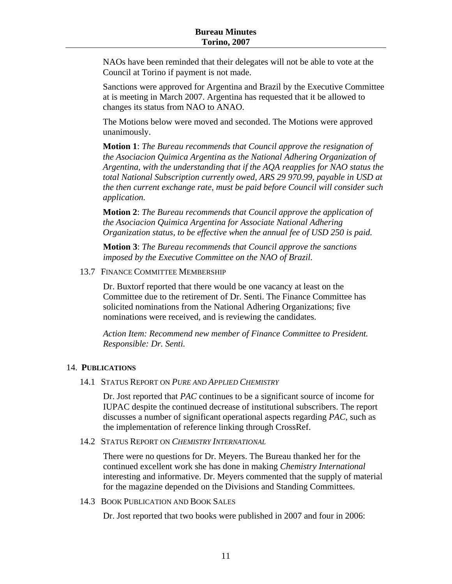NAOs have been reminded that their delegates will not be able to vote at the Council at Torino if payment is not made.

Sanctions were approved for Argentina and Brazil by the Executive Committee at is meeting in March 2007. Argentina has requested that it be allowed to changes its status from NAO to ANAO.

The Motions below were moved and seconded. The Motions were approved unanimously.

**Motion 1**: *The Bureau recommends that Council approve the resignation of the Asociacion Quimica Argentina as the National Adhering Organization of Argentina, with the understanding that if the AQA reapplies for NAO status the total National Subscription currently owed, ARS 29 970.99, payable in USD at the then current exchange rate, must be paid before Council will consider such application.* 

**Motion 2**: *The Bureau recommends that Council approve the application of the Asociacion Quimica Argentina for Associate National Adhering Organization status, to be effective when the annual fee of USD 250 is paid.* 

**Motion 3**: *The Bureau recommends that Council approve the sanctions imposed by the Executive Committee on the NAO of Brazil.*

13.7 FINANCE COMMITTEE MEMBERSHIP

Dr. Buxtorf reported that there would be one vacancy at least on the Committee due to the retirement of Dr. Senti. The Finance Committee has solicited nominations from the National Adhering Organizations; five nominations were received, and is reviewing the candidates.

*Action Item: Recommend new member of Finance Committee to President. Responsible: Dr. Senti.* 

#### 14. **PUBLICATIONS**

14.1 STATUS REPORT ON *PURE AND APPLIED CHEMISTRY*

Dr. Jost reported that *PAC* continues to be a significant source of income for IUPAC despite the continued decrease of institutional subscribers. The report discusses a number of significant operational aspects regarding *PAC*, such as the implementation of reference linking through CrossRef.

14.2 STATUS REPORT ON *CHEMISTRY INTERNATIONAL*

There were no questions for Dr. Meyers. The Bureau thanked her for the continued excellent work she has done in making *Chemistry International* interesting and informative. Dr. Meyers commented that the supply of material for the magazine depended on the Divisions and Standing Committees.

14.3 BOOK PUBLICATION AND BOOK SALES

Dr. Jost reported that two books were published in 2007 and four in 2006: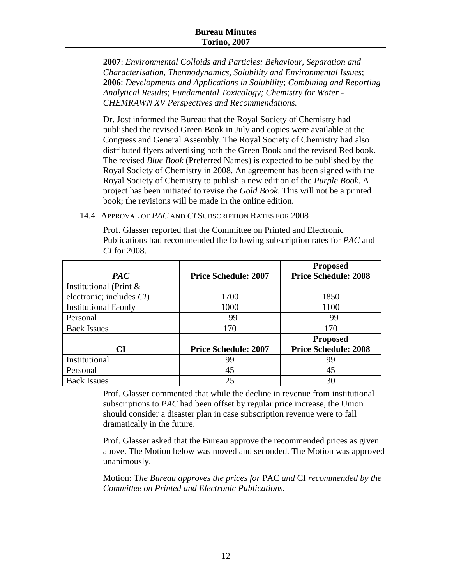**2007**: *Environmental Colloids and Particles: Behaviour, Separation and Characterisation*, *Thermodynamics, Solubility and Environmental Issues*; **2006**: *Developments and Applications in Solubility*; *Combining and Reporting Analytical Results*; *Fundamental Toxicology; Chemistry for Water - CHEMRAWN XV Perspectives and Recommendations.*

Dr. Jost informed the Bureau that the Royal Society of Chemistry had published the revised Green Book in July and copies were available at the Congress and General Assembly. The Royal Society of Chemistry had also distributed flyers advertising both the Green Book and the revised Red book. The revised *Blue Book* (Preferred Names) is expected to be published by the Royal Society of Chemistry in 2008. An agreement has been signed with the Royal Society of Chemistry to publish a new edition of the *Purple Book*. A project has been initiated to revise the *Gold Book*. This will not be a printed book; the revisions will be made in the online edition.

14.4 APPROVAL OF *PAC* AND *CI* SUBSCRIPTION RATES FOR 2008

Prof. Glasser reported that the Committee on Printed and Electronic Publications had recommended the following subscription rates for *PAC* and *CI* for 2008.

|                             |                             | <b>Proposed</b>             |
|-----------------------------|-----------------------------|-----------------------------|
| <b>PAC</b>                  | <b>Price Schedule: 2007</b> | <b>Price Schedule: 2008</b> |
| Institutional (Print &      |                             |                             |
| electronic; includes CI)    | 1700                        | 1850                        |
| <b>Institutional E-only</b> | 1000                        | 1100                        |
| Personal                    | 99                          | 99                          |
| <b>Back Issues</b>          | 170                         | 170                         |
|                             |                             | <b>Proposed</b>             |
| CI                          | <b>Price Schedule: 2007</b> | <b>Price Schedule: 2008</b> |
| Institutional               | 99                          | 99                          |
| Personal                    | 45                          | 45                          |
| <b>Back Issues</b>          | 25                          | 30                          |

Prof. Glasser commented that while the decline in revenue from institutional subscriptions to *PAC* had been offset by regular price increase, the Union should consider a disaster plan in case subscription revenue were to fall dramatically in the future.

Prof. Glasser asked that the Bureau approve the recommended prices as given above. The Motion below was moved and seconded. The Motion was approved unanimously.

Motion: T*he Bureau approves the prices for* PAC *and* CI *recommended by the Committee on Printed and Electronic Publications.*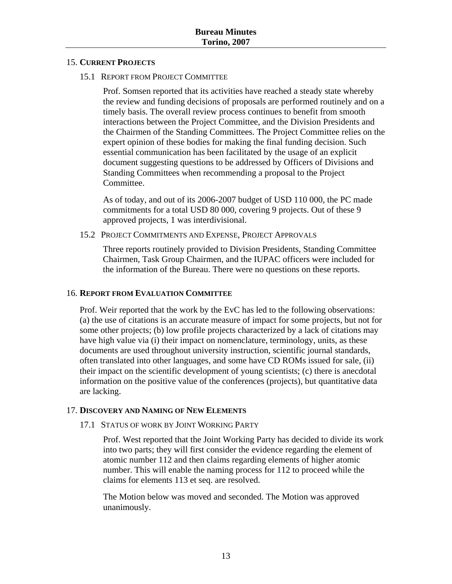#### 15. **CURRENT PROJECTS**

#### 15.1 REPORT FROM PROJECT COMMITTEE

Prof. Somsen reported that its activities have reached a steady state whereby the review and funding decisions of proposals are performed routinely and on a timely basis. The overall review process continues to benefit from smooth interactions between the Project Committee, and the Division Presidents and the Chairmen of the Standing Committees. The Project Committee relies on the expert opinion of these bodies for making the final funding decision. Such essential communication has been facilitated by the usage of an explicit document suggesting questions to be addressed by Officers of Divisions and Standing Committees when recommending a proposal to the Project Committee.

As of today, and out of its 2006-2007 budget of USD 110 000, the PC made commitments for a total USD 80 000, covering 9 projects. Out of these 9 approved projects, 1 was interdivisional.

15.2 PROJECT COMMITMENTS AND EXPENSE, PROJECT APPROVALS

Three reports routinely provided to Division Presidents, Standing Committee Chairmen, Task Group Chairmen, and the IUPAC officers were included for the information of the Bureau. There were no questions on these reports.

#### 16. **REPORT FROM EVALUATION COMMITTEE**

Prof. Weir reported that the work by the EvC has led to the following observations: (a) the use of citations is an accurate measure of impact for some projects, but not for some other projects; (b) low profile projects characterized by a lack of citations may have high value via (i) their impact on nomenclature, terminology, units, as these documents are used throughout university instruction, scientific journal standards, often translated into other languages, and some have CD ROMs issued for sale, (ii) their impact on the scientific development of young scientists; (c) there is anecdotal information on the positive value of the conferences (projects), but quantitative data are lacking.

#### 17. **DISCOVERY AND NAMING OF NEW ELEMENTS**

17.1 STATUS OF WORK BY JOINT WORKING PARTY

Prof. West reported that the Joint Working Party has decided to divide its work into two parts; they will first consider the evidence regarding the element of atomic number 112 and then claims regarding elements of higher atomic number. This will enable the naming process for 112 to proceed while the claims for elements 113 et seq. are resolved.

The Motion below was moved and seconded. The Motion was approved unanimously.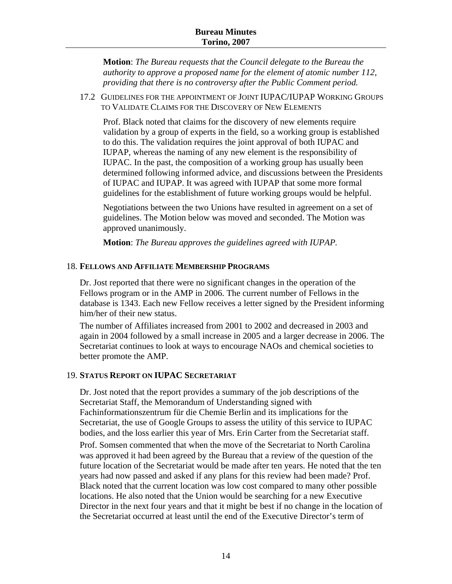**Motion**: *The Bureau requests that the Council delegate to the Bureau the authority to approve a proposed name for the element of atomic number 112, providing that there is no controversy after the Public Comment period.*

17.2 GUIDELINES FOR THE APPOINTMENT OF JOINT IUPAC/IUPAP WORKING GROUPS TO VALIDATE CLAIMS FOR THE DISCOVERY OF NEW ELEMENTS

Prof. Black noted that claims for the discovery of new elements require validation by a group of experts in the field, so a working group is established to do this. The validation requires the joint approval of both IUPAC and IUPAP, whereas the naming of any new element is the responsibility of IUPAC. In the past, the composition of a working group has usually been determined following informed advice, and discussions between the Presidents of IUPAC and IUPAP. It was agreed with IUPAP that some more formal guidelines for the establishment of future working groups would be helpful.

Negotiations between the two Unions have resulted in agreement on a set of guidelines. The Motion below was moved and seconded. The Motion was approved unanimously.

**Motion**: *The Bureau approves the guidelines agreed with IUPAP.*

#### 18. **FELLOWS AND AFFILIATE MEMBERSHIP PROGRAMS**

Dr. Jost reported that there were no significant changes in the operation of the Fellows program or in the AMP in 2006. The current number of Fellows in the database is 1343. Each new Fellow receives a letter signed by the President informing him/her of their new status.

The number of Affiliates increased from 2001 to 2002 and decreased in 2003 and again in 2004 followed by a small increase in 2005 and a larger decrease in 2006. The Secretariat continues to look at ways to encourage NAOs and chemical societies to better promote the AMP.

#### 19. **STATUS REPORT ON IUPAC SECRETARIAT**

Dr. Jost noted that the report provides a summary of the job descriptions of the Secretariat Staff, the Memorandum of Understanding signed with Fachinformationszentrum für die Chemie Berlin and its implications for the Secretariat, the use of Google Groups to assess the utility of this service to IUPAC bodies, and the loss earlier this year of Mrs. Erin Carter from the Secretariat staff.

Prof. Somsen commented that when the move of the Secretariat to North Carolina was approved it had been agreed by the Bureau that a review of the question of the future location of the Secretariat would be made after ten years. He noted that the ten years had now passed and asked if any plans for this review had been made? Prof. Black noted that the current location was low cost compared to many other possible locations. He also noted that the Union would be searching for a new Executive Director in the next four years and that it might be best if no change in the location of the Secretariat occurred at least until the end of the Executive Director's term of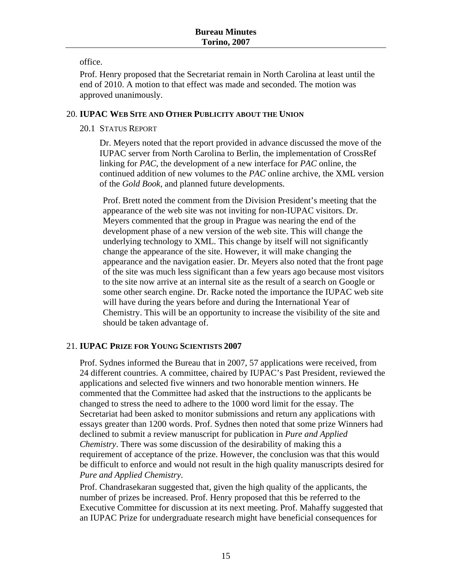office.

Prof. Henry proposed that the Secretariat remain in North Carolina at least until the end of 2010. A motion to that effect was made and seconded. The motion was approved unanimously.

#### 20. **IUPAC WEB SITE AND OTHER PUBLICITY ABOUT THE UNION**

#### 20.1 STATUS REPORT

Dr. Meyers noted that the report provided in advance discussed the move of the IUPAC server from North Carolina to Berlin, the implementation of CrossRef linking for *PAC*, the development of a new interface for *PAC* online, the continued addition of new volumes to the *PAC* online archive, the XML version of the *Gold Book*, and planned future developments.

Prof. Brett noted the comment from the Division President's meeting that the appearance of the web site was not inviting for non-IUPAC visitors. Dr. Meyers commented that the group in Prague was nearing the end of the development phase of a new version of the web site. This will change the underlying technology to XML. This change by itself will not significantly change the appearance of the site. However, it will make changing the appearance and the navigation easier. Dr. Meyers also noted that the front page of the site was much less significant than a few years ago because most visitors to the site now arrive at an internal site as the result of a search on Google or some other search engine. Dr. Racke noted the importance the IUPAC web site will have during the years before and during the International Year of Chemistry. This will be an opportunity to increase the visibility of the site and should be taken advantage of.

#### 21. **IUPAC PRIZE FOR YOUNG SCIENTISTS 2007**

Prof. Sydnes informed the Bureau that in 2007, 57 applications were received, from 24 different countries. A committee, chaired by IUPAC's Past President, reviewed the applications and selected five winners and two honorable mention winners. He commented that the Committee had asked that the instructions to the applicants be changed to stress the need to adhere to the 1000 word limit for the essay. The Secretariat had been asked to monitor submissions and return any applications with essays greater than 1200 words. Prof. Sydnes then noted that some prize Winners had declined to submit a review manuscript for publication in *Pure and Applied Chemistry*. There was some discussion of the desirability of making this a requirement of acceptance of the prize. However, the conclusion was that this would be difficult to enforce and would not result in the high quality manuscripts desired for *Pure and Applied Chemistry*.

Prof. Chandrasekaran suggested that, given the high quality of the applicants, the number of prizes be increased. Prof. Henry proposed that this be referred to the Executive Committee for discussion at its next meeting. Prof. Mahaffy suggested that an IUPAC Prize for undergraduate research might have beneficial consequences for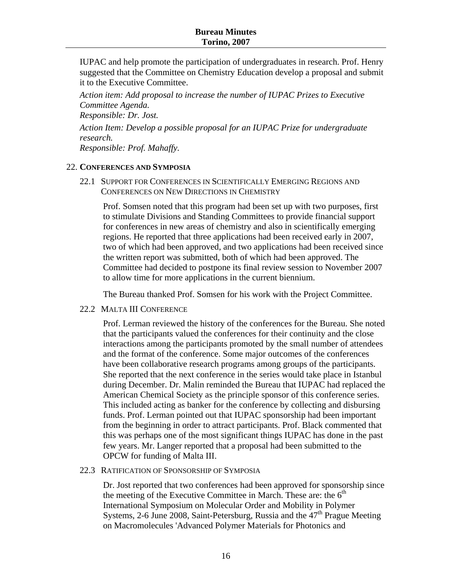IUPAC and help promote the participation of undergraduates in research. Prof. Henry suggested that the Committee on Chemistry Education develop a proposal and submit it to the Executive Committee.

*Action item: Add proposal to increase the number of IUPAC Prizes to Executive Committee Agenda.* 

*Responsible: Dr. Jost.* 

*Action Item: Develop a possible proposal for an IUPAC Prize for undergraduate research.* 

*Responsible: Prof. Mahaffy.* 

#### 22. **CONFERENCES AND SYMPOSIA**

22.1 SUPPORT FOR CONFERENCES IN SCIENTIFICALLY EMERGING REGIONS AND CONFERENCES ON NEW DIRECTIONS IN CHEMISTRY

Prof. Somsen noted that this program had been set up with two purposes, first to stimulate Divisions and Standing Committees to provide financial support for conferences in new areas of chemistry and also in scientifically emerging regions. He reported that three applications had been received early in 2007, two of which had been approved, and two applications had been received since the written report was submitted, both of which had been approved. The Committee had decided to postpone its final review session to November 2007 to allow time for more applications in the current biennium.

The Bureau thanked Prof. Somsen for his work with the Project Committee.

22.2 MALTA III CONFERENCE

Prof. Lerman reviewed the history of the conferences for the Bureau. She noted that the participants valued the conferences for their continuity and the close interactions among the participants promoted by the small number of attendees and the format of the conference. Some major outcomes of the conferences have been collaborative research programs among groups of the participants. She reported that the next conference in the series would take place in Istanbul during December. Dr. Malin reminded the Bureau that IUPAC had replaced the American Chemical Society as the principle sponsor of this conference series. This included acting as banker for the conference by collecting and disbursing funds. Prof. Lerman pointed out that IUPAC sponsorship had been important from the beginning in order to attract participants. Prof. Black commented that this was perhaps one of the most significant things IUPAC has done in the past few years. Mr. Langer reported that a proposal had been submitted to the OPCW for funding of Malta III.

#### 22.3 RATIFICATION OF SPONSORSHIP OF SYMPOSIA

Dr. Jost reported that two conferences had been approved for sponsorship since the meeting of the Executive Committee in March. These are: the  $6<sup>th</sup>$ International Symposium on Molecular Order and Mobility in Polymer Systems, 2-6 June 2008, Saint-Petersburg, Russia and the  $47<sup>th</sup>$  Prague Meeting on Macromolecules 'Advanced Polymer Materials for Photonics and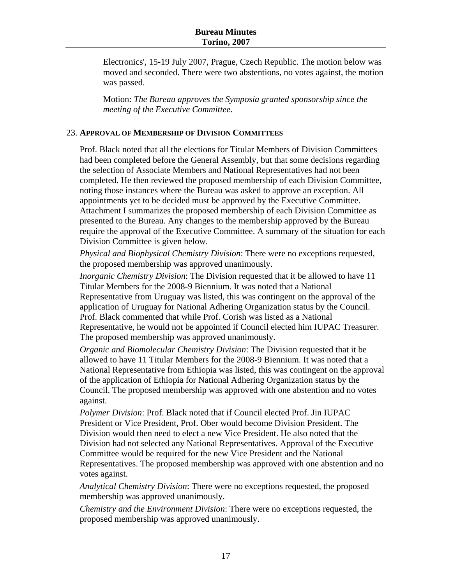Electronics', 15-19 July 2007, Prague, Czech Republic. The motion below was moved and seconded. There were two abstentions, no votes against, the motion was passed.

Motion: *The Bureau approves the Symposia granted sponsorship since the meeting of the Executive Committee.*

#### 23. **APPROVAL OF MEMBERSHIP OF DIVISION COMMITTEES**

Prof. Black noted that all the elections for Titular Members of Division Committees had been completed before the General Assembly, but that some decisions regarding the selection of Associate Members and National Representatives had not been completed. He then reviewed the proposed membership of each Division Committee, noting those instances where the Bureau was asked to approve an exception. All appointments yet to be decided must be approved by the Executive Committee. Attachment I summarizes the proposed membership of each Division Committee as presented to the Bureau. Any changes to the membership approved by the Bureau require the approval of the Executive Committee. A summary of the situation for each Division Committee is given below.

*Physical and Biophysical Chemistry Division*: There were no exceptions requested, the proposed membership was approved unanimously.

*Inorganic Chemistry Division*: The Division requested that it be allowed to have 11 Titular Members for the 2008-9 Biennium. It was noted that a National Representative from Uruguay was listed, this was contingent on the approval of the application of Uruguay for National Adhering Organization status by the Council. Prof. Black commented that while Prof. Corish was listed as a National Representative, he would not be appointed if Council elected him IUPAC Treasurer. The proposed membership was approved unanimously.

*Organic and Biomolecular Chemistry Division*: The Division requested that it be allowed to have 11 Titular Members for the 2008-9 Biennium. It was noted that a National Representative from Ethiopia was listed, this was contingent on the approval of the application of Ethiopia for National Adhering Organization status by the Council. The proposed membership was approved with one abstention and no votes against.

*Polymer Division*: Prof. Black noted that if Council elected Prof. Jin IUPAC President or Vice President, Prof. Ober would become Division President. The Division would then need to elect a new Vice President. He also noted that the Division had not selected any National Representatives. Approval of the Executive Committee would be required for the new Vice President and the National Representatives. The proposed membership was approved with one abstention and no votes against.

*Analytical Chemistry Division*: There were no exceptions requested, the proposed membership was approved unanimously.

*Chemistry and the Environment Division*: There were no exceptions requested, the proposed membership was approved unanimously.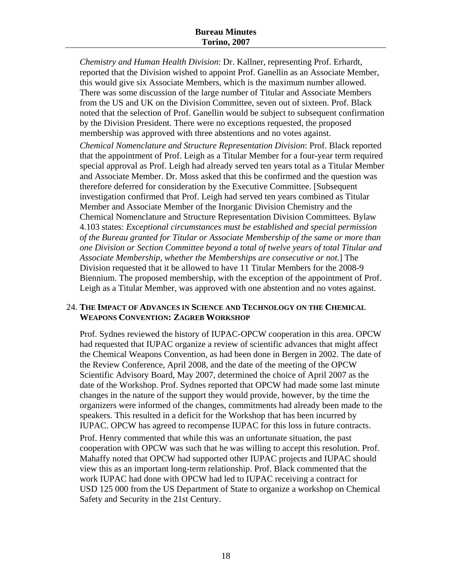#### **Bureau Minutes Torino, 2007**

*Chemistry and Human Health Division*: Dr. Kallner, representing Prof. Erhardt, reported that the Division wished to appoint Prof. Ganellin as an Associate Member, this would give six Associate Members, which is the maximum number allowed. There was some discussion of the large number of Titular and Associate Members from the US and UK on the Division Committee, seven out of sixteen. Prof. Black noted that the selection of Prof. Ganellin would be subject to subsequent confirmation by the Division President. There were no exceptions requested, the proposed membership was approved with three abstentions and no votes against.

*Chemical Nomenclature and Structure Representation Division*: Prof. Black reported that the appointment of Prof. Leigh as a Titular Member for a four-year term required special approval as Prof. Leigh had already served ten years total as a Titular Member and Associate Member. Dr. Moss asked that this be confirmed and the question was therefore deferred for consideration by the Executive Committee. [Subsequent investigation confirmed that Prof. Leigh had served ten years combined as Titular Member and Associate Member of the Inorganic Division Chemistry and the Chemical Nomenclature and Structure Representation Division Committees. Bylaw 4.103 states: *Exceptional circumstances must be established and special permission of the Bureau granted for Titular or Associate Membership of the same or more than one Division or Section Committee beyond a total of twelve years of total Titular and Associate Membership, whether the Memberships are consecutive or not.*] The Division requested that it be allowed to have 11 Titular Members for the 2008-9 Biennium. The proposed membership, with the exception of the appointment of Prof. Leigh as a Titular Member, was approved with one abstention and no votes against.

#### 24. **THE IMPACT OF ADVANCES IN SCIENCE AND TECHNOLOGY ON THE CHEMICAL WEAPONS CONVENTION: ZAGREB WORKSHOP**

Prof. Sydnes reviewed the history of IUPAC-OPCW cooperation in this area. OPCW had requested that IUPAC organize a review of scientific advances that might affect the Chemical Weapons Convention, as had been done in Bergen in 2002. The date of the Review Conference, April 2008, and the date of the meeting of the OPCW Scientific Advisory Board, May 2007, determined the choice of April 2007 as the date of the Workshop. Prof. Sydnes reported that OPCW had made some last minute changes in the nature of the support they would provide, however, by the time the organizers were informed of the changes, commitments had already been made to the speakers. This resulted in a deficit for the Workshop that has been incurred by IUPAC. OPCW has agreed to recompense IUPAC for this loss in future contracts.

Prof. Henry commented that while this was an unfortunate situation, the past cooperation with OPCW was such that he was willing to accept this resolution. Prof. Mahaffy noted that OPCW had supported other IUPAC projects and IUPAC should view this as an important long-term relationship. Prof. Black commented that the work IUPAC had done with OPCW had led to IUPAC receiving a contract for USD 125 000 from the US Department of State to organize a workshop on Chemical Safety and Security in the 21st Century.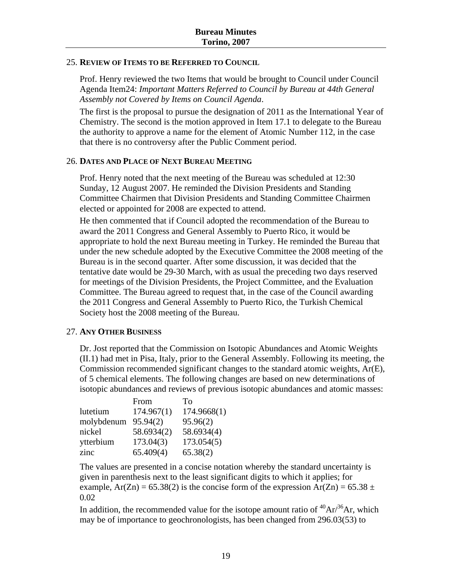#### 25. **REVIEW OF ITEMS TO BE REFERRED TO COUNCIL**

Prof. Henry reviewed the two Items that would be brought to Council under Council Agenda Item24: *Important Matters Referred to Council by Bureau at 44th General Assembly not Covered by Items on Council Agenda*.

The first is the proposal to pursue the designation of 2011 as the International Year of Chemistry. The second is the motion approved in Item 17.1 to delegate to the Bureau the authority to approve a name for the element of Atomic Number 112, in the case that there is no controversy after the Public Comment period.

#### 26. **DATES AND PLACE OF NEXT BUREAU MEETING**

Prof. Henry noted that the next meeting of the Bureau was scheduled at 12:30 Sunday, 12 August 2007. He reminded the Division Presidents and Standing Committee Chairmen that Division Presidents and Standing Committee Chairmen elected or appointed for 2008 are expected to attend.

He then commented that if Council adopted the recommendation of the Bureau to award the 2011 Congress and General Assembly to Puerto Rico, it would be appropriate to hold the next Bureau meeting in Turkey. He reminded the Bureau that under the new schedule adopted by the Executive Committee the 2008 meeting of the Bureau is in the second quarter. After some discussion, it was decided that the tentative date would be 29-30 March, with as usual the preceding two days reserved for meetings of the Division Presidents, the Project Committee, and the Evaluation Committee. The Bureau agreed to request that, in the case of the Council awarding the 2011 Congress and General Assembly to Puerto Rico, the Turkish Chemical Society host the 2008 meeting of the Bureau.

#### 27. **ANY OTHER BUSINESS**

Dr. Jost reported that the Commission on Isotopic Abundances and Atomic Weights (II.1) had met in Pisa, Italy, prior to the General Assembly. Following its meeting, the Commission recommended significant changes to the standard atomic weights, Ar(E), of 5 chemical elements. The following changes are based on new determinations of isotopic abundances and reviews of previous isotopic abundances and atomic masses:

|            | From       | Tο          |
|------------|------------|-------------|
| lutetium   | 174.967(1) | 174.9668(1) |
| molybdenum | 95.94(2)   | 95.96(2)    |
| nickel     | 58.6934(2) | 58.6934(4)  |
| ytterbium  | 173.04(3)  | 173.054(5)  |
| zinc       | 65.409(4)  | 65.38(2)    |

The values are presented in a concise notation whereby the standard uncertainty is given in parenthesis next to the least significant digits to which it applies; for example,  $Ar(Zn) = 65.38(2)$  is the concise form of the expression  $Ar(Zn) = 65.38 \pm$ 0.02

In addition, the recommended value for the isotope amount ratio of  ${}^{40}Ar/{}^{36}Ar$ , which may be of importance to geochronologists, has been changed from 296.03(53) to